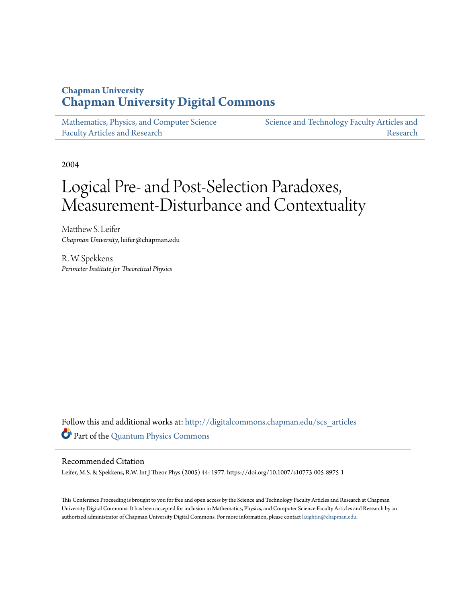### **Chapman University [Chapman University Digital Commons](http://digitalcommons.chapman.edu?utm_source=digitalcommons.chapman.edu%2Fscs_articles%2F540&utm_medium=PDF&utm_campaign=PDFCoverPages)**

[Mathematics, Physics, and Computer Science](http://digitalcommons.chapman.edu/scs_articles?utm_source=digitalcommons.chapman.edu%2Fscs_articles%2F540&utm_medium=PDF&utm_campaign=PDFCoverPages) [Faculty Articles and Research](http://digitalcommons.chapman.edu/scs_articles?utm_source=digitalcommons.chapman.edu%2Fscs_articles%2F540&utm_medium=PDF&utm_campaign=PDFCoverPages) [Science and Technology Faculty Articles and](http://digitalcommons.chapman.edu/science_articles?utm_source=digitalcommons.chapman.edu%2Fscs_articles%2F540&utm_medium=PDF&utm_campaign=PDFCoverPages) [Research](http://digitalcommons.chapman.edu/science_articles?utm_source=digitalcommons.chapman.edu%2Fscs_articles%2F540&utm_medium=PDF&utm_campaign=PDFCoverPages)

2004

# Logical Pre- and Post-Selection Paradoxes, Measurement-Disturbance and Contextuality

Matthew S. Leifer *Chapman University*, leifer@chapman.edu

R. W. Spekkens *Perimeter Institute for Theoretical Physics*

Follow this and additional works at: [http://digitalcommons.chapman.edu/scs\\_articles](http://digitalcommons.chapman.edu/scs_articles?utm_source=digitalcommons.chapman.edu%2Fscs_articles%2F540&utm_medium=PDF&utm_campaign=PDFCoverPages) Part of the [Quantum Physics Commons](https://network.bepress.com/hgg/discipline/206?utm_source=digitalcommons.chapman.edu%2Fscs_articles%2F540&utm_medium=PDF&utm_campaign=PDFCoverPages)

#### Recommended Citation

Leifer, M.S. & Spekkens, R.W. Int J Theor Phys (2005) 44: 1977. https://doi.org/10.1007/s10773-005-8975-1

This Conference Proceeding is brought to you for free and open access by the Science and Technology Faculty Articles and Research at Chapman University Digital Commons. It has been accepted for inclusion in Mathematics, Physics, and Computer Science Faculty Articles and Research by an authorized administrator of Chapman University Digital Commons. For more information, please contact [laughtin@chapman.edu](mailto:laughtin@chapman.edu).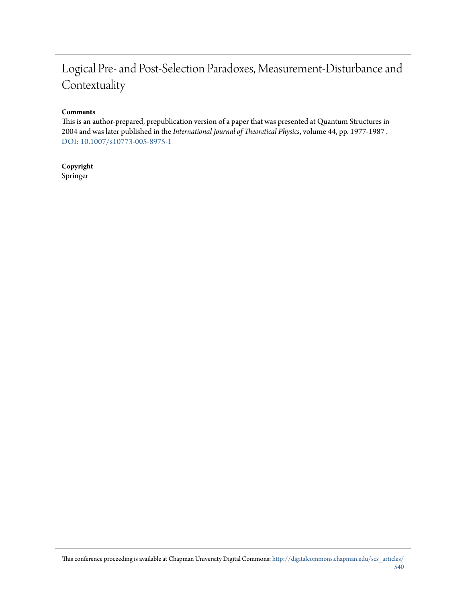## Logical Pre- and Post-Selection Paradoxes, Measurement-Disturbance and Contextuality

#### **Comments**

This is an author-prepared, prepublication version of a paper that was presented at Quantum Structures in 2004 and was later published in the *International Journal of Theoretical Physics*, volume 44, pp. 1977-1987 . [DOI: 10.1007/s10773-005-8975-1](http://dx.doi.org/10.1007/s10773-005-8975-1)

**Copyright** Springer

This conference proceeding is available at Chapman University Digital Commons: [http://digitalcommons.chapman.edu/scs\\_articles/](http://digitalcommons.chapman.edu/scs_articles/540?utm_source=digitalcommons.chapman.edu%2Fscs_articles%2F540&utm_medium=PDF&utm_campaign=PDFCoverPages)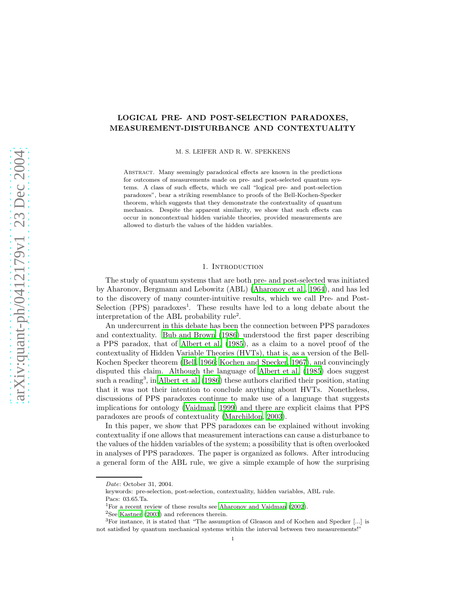#### LOGICAL PRE- AND POST-SELECTION PARADOXES, MEASUREMENT-DISTURBANCE AND CONTEXTUALITY

M. S. LEIFER AND R. W. SPEKKENS

Abstract. Many seemingly paradoxical effects are known in the predictions for outcomes of measurements made on pre- and post-selected quantum systems. A class of such effects, which we call "logical pre- and post-selection paradoxes", bear a striking resemblance to proofs of the Bell-Kochen-Specker theorem, which suggests that they demonstrate the contextuality of quantum mechanics. Despite the apparent similarity, we show that such effects can occur in noncontextual hidden variable theories, provided measurements are allowed to disturb the values of the hidden variables.

#### 1. INTRODUCTION

The study of quantum systems that are both pre- and post-selected was initiated by Aharonov, Bergmann and Lebowitz (ABL) [\(Aharonov et al., 1964\)](#page-9-0), and has led to the discovery of many counter-intuitive results, which we call Pre- and Post-Selection (PPS) paradoxes<sup>1</sup>. These results have led to a long debate about the interpretation of the ABL probability rule<sup>2</sup>.

An undercurrent in this debate has been the connection between PPS paradoxes and contextuality. [Bub and Brown \(1986](#page-10-0)) understood the first paper describing a PPS paradox, that of [Albert et al. \(1985\)](#page-9-1), as a claim to a novel proof of the contextuality of Hidden Variable Theories (HVTs), that is, as a version of the Bell-Kochen Specker theorem [\(Bell, 1966](#page-9-2); [Kochen and Specker](#page-10-1), [1967\)](#page-10-1), and convincingly disputed this claim. Although the language of [Albert et al. \(1985\)](#page-9-1) does suggest such a reading<sup>3</sup>, in [Albert et al. \(1986\)](#page-9-3) these authors clarified their position, stating that it was not their intention to conclude anything about HVTs. Nonetheless, discussions of PPS paradoxes continue to make use of a language that suggests implications for ontology [\(Vaidman, 1999](#page-10-2)) and there are explicit claims that PPS paradoxes are proofs of contextuality [\(Marchildon, 2003\)](#page-10-3).

In this paper, we show that PPS paradoxes can be explained without invoking contextuality if one allows that measurement interactions can cause a disturbance to the values of the hidden variables of the system; a possibility that is often overlooked in analyses of PPS paradoxes. The paper is organized as follows. After introducing a general form of the ABL rule, we give a simple example of how the surprising

Date: October 31, 2004.

keywords: pre-selection, post-selection, contextuality, hidden variables, ABL rule. Pacs: 03.65.Ta.

<sup>&</sup>lt;sup>1</sup>For a recent review of these results see [Aharonov and Vaidman](#page-9-4) [\(2002](#page-9-4)).

 $2$ See [Kastner \(2003](#page-10-4)) and references therein.

<sup>3</sup>For instance, it is stated that "The assumption of Gleason and of Kochen and Specker [...] is not satisfied by quantum mechanical systems within the interval between two measurements!"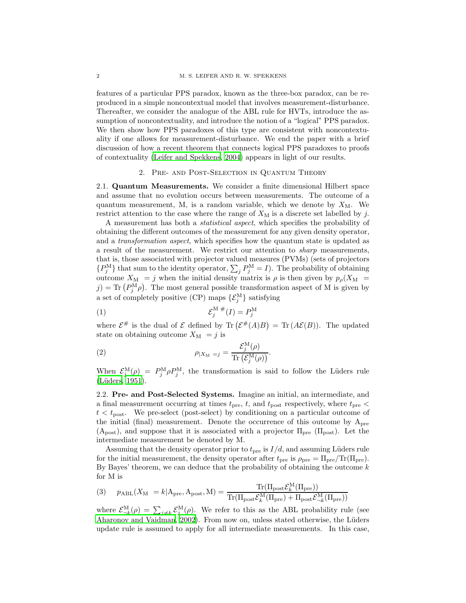features of a particular PPS paradox, known as the three-box paradox, can be reproduced in a simple noncontextual model that involves measurement-disturbance. Thereafter, we consider the analogue of the ABL rule for HVTs, introduce the assumption of noncontextuality, and introduce the notion of a "logical" PPS paradox. We then show how PPS paradoxes of this type are consistent with noncontextuality if one allows for measurement-disturbance. We end the paper with a brief discussion of how a recent theorem that connects logical PPS paradoxes to proofs of contextuality [\(Leifer and Spekkens, 2004\)](#page-10-5) appears in light of our results.

#### 2. Pre- and Post-Selection in Quantum Theory

2.1. Quantum Measurements. We consider a finite dimensional Hilbert space and assume that no evolution occurs between measurements. The outcome of a quantum measurement, M, is a random variable, which we denote by  $X_M$ . We restrict attention to the case where the range of  $X_M$  is a discrete set labelled by j.

A measurement has both a statistical aspect, which specifies the probability of obtaining the different outcomes of the measurement for any given density operator, and a transformation aspect, which specifies how the quantum state is updated as a result of the measurement. We restrict our attention to sharp measurements, that is, those associated with projector valued measures (PVMs) (sets of projectors  ${P_j^{\text{M}}}$  that sum to the identity operator,  $\sum_j P_j^{\text{M}} = I$ ). The probability of obtaining outcome  $X_{\text{M}} = j$  when the initial density matrix is  $\rho$  is then given by  $p_{\rho}(X_{\text{M}} =$  $j$ ) = Tr  $(P_j^{\text{M}} \rho)$ . The most general possible transformation aspect of M is given by a set of completely positive (CP) maps  $\{\mathcal{E}_{j}^{\text{M}}\}$  satisfying

<span id="page-3-0"></span>
$$
\mathcal{E}_j^{\mathcal{M}\#}(I) = P_j^{\mathcal{M}}
$$

<span id="page-3-1"></span>where  $\mathcal{E}^{\#}$  is the dual of  $\mathcal{E}$  defined by Tr  $(\mathcal{E}^{\#}(A)B) = \text{Tr}(A\mathcal{E}(B))$ . The updated state on obtaining outcome  $X_M = j$  is

(2) 
$$
\rho_{|X_{\mathrm{M}}| = j} = \frac{\mathcal{E}_j^{\mathrm{M}}(\rho)}{\mathrm{Tr}(\mathcal{E}_j^{\mathrm{M}}(\rho))}.
$$

When  $\mathcal{E}_j^{\text{M}}(\rho) = P_j^{\text{M}} \rho P_j^{\text{M}}$ , the transformation is said to follow the Lüders rule (Lüders, [1951](#page-10-6)).

2.2. Pre- and Post-Selected Systems. Imagine an initial, an intermediate, and a final measurement occurring at times  $t_{\text{pre}}$ , t, and  $t_{\text{post}}$  respectively, where  $t_{\text{pre}}$  $t < t_{\text{post}}$ . We pre-select (post-select) by conditioning on a particular outcome of the initial (final) measurement. Denote the occurrence of this outcome by  $A_{pre}$  $(A_{\text{post}})$ , and suppose that it is associated with a projector  $\Pi_{\text{pre}}(\Pi_{\text{post}})$ . Let the intermediate measurement be denoted by M.

<span id="page-3-2"></span>Assuming that the density operator prior to  $t_{pre}$  is  $I/d$ , and assuming Lüders rule for the initial measurement, the density operator after  $t_{pre}$  is  $\rho_{pre} = \Pi_{pre}/\text{Tr}(\Pi_{pre})$ . By Bayes' theorem, we can deduce that the probability of obtaining the outcome  $k$ for M is

(3) 
$$
p_{\text{ABL}}(X_{\text{M}} = k | A_{\text{pre}}, A_{\text{post}}, \text{M}) = \frac{\text{Tr}(\Pi_{\text{post}} \mathcal{E}_{k}^{\text{M}}(\Pi_{\text{pre}}))}{\text{Tr}(\Pi_{\text{post}} \mathcal{E}_{k}^{\text{M}}(\Pi_{\text{pre}}) + \Pi_{\text{post}} \mathcal{E}_{\neg k}^{\text{M}}(\Pi_{\text{pre}}))}
$$

where  $\mathcal{E}_{-\kappa}^{\mathbf{M}}(\rho) = \sum_{j \neq k} \mathcal{E}_{j}^{\mathbf{M}}(\rho)$ . We refer to this as the ABL probability rule (see [Aharonov and Vaidman, 2002\)](#page-9-4). From now on, unless stated otherwise, the Lüders update rule is assumed to apply for all intermediate measurements. In this case,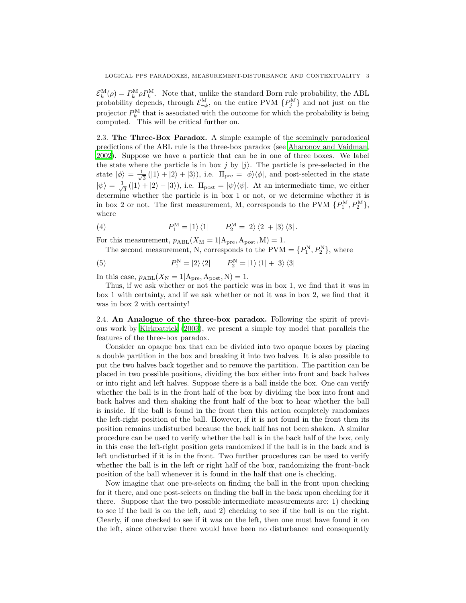$\mathcal{E}_k^{\text{M}}(\rho) = P_k^{\text{M}} \rho P_k^{\text{M}}$ . Note that, unlike the standard Born rule probability, the ABL probability depends, through  $\mathcal{E}_{\neg k}^{\text{M}}$ , on the entire PVM  $\{P_j^{\text{M}}\}$  and not just on the projector  $P_k^{\text{M}}$  that is associated with the outcome for which the probability is being computed. This will be critical further on.

2.3. The Three-Box Paradox. A simple example of the seemingly paradoxical predictions of the ABL rule is the three-box paradox (see [Aharonov and Vaidman,](#page-9-4) [2002\)](#page-9-4). Suppose we have a particle that can be in one of three boxes. We label the state where the particle is in box j by  $|j\rangle$ . The particle is pre-selected in the state  $|\phi\rangle = \frac{1}{\sqrt{2}}$  $\frac{1}{3}$ (|1} + |2} + |3}), i.e.  $\Pi_{pre} = |\phi\rangle\langle\phi|$ , and post-selected in the state  $|\psi\rangle = \frac{1}{\sqrt{2}}$  $\frac{1}{3}(|1\rangle + |2\rangle - |3\rangle)$ , i.e.  $\Pi_{\text{post}} = |\psi\rangle\langle\psi|$ . At an intermediate time, we either determine whether the particle is in box 1 or not, or we determine whether it is in box 2 or not. The first measurement, M, corresponds to the PVM  $\{P_1^M, P_2^M\}$ , where

(4) 
$$
P_1^{\text{M}} = |1\rangle \langle 1| \qquad P_2^{\text{M}} = |2\rangle \langle 2| + |3\rangle \langle 3|.
$$

For this measurement,  $p_{ABL}(X_M = 1|A_{pre}, A_{post}, M) = 1$ .

The second measurement, N, corresponds to the  $\text{PVM} = \{P_1^N, P_2^N\}$ , where

(5) 
$$
P_1^{\mathcal{N}} = |2\rangle\langle 2| \qquad P_2^{\mathcal{N}} = |1\rangle\langle 1| + |3\rangle\langle 3|
$$

In this case,  $p_{ABL}(X_N = 1 | A_{pre}, A_{post}, N) = 1$ .

Thus, if we ask whether or not the particle was in box 1, we find that it was in box 1 with certainty, and if we ask whether or not it was in box 2, we find that it was in box 2 with certainty!

<span id="page-4-0"></span>2.4. An Analogue of the three-box paradox. Following the spirit of previous work by [Kirkpatrick \(2003\)](#page-10-7), we present a simple toy model that parallels the features of the three-box paradox.

Consider an opaque box that can be divided into two opaque boxes by placing a double partition in the box and breaking it into two halves. It is also possible to put the two halves back together and to remove the partition. The partition can be placed in two possible positions, dividing the box either into front and back halves or into right and left halves. Suppose there is a ball inside the box. One can verify whether the ball is in the front half of the box by dividing the box into front and back halves and then shaking the front half of the box to hear whether the ball is inside. If the ball is found in the front then this action completely randomizes the left-right position of the ball. However, if it is not found in the front then its position remains undisturbed because the back half has not been shaken. A similar procedure can be used to verify whether the ball is in the back half of the box, only in this case the left-right position gets randomized if the ball is in the back and is left undisturbed if it is in the front. Two further procedures can be used to verify whether the ball is in the left or right half of the box, randomizing the front-back position of the ball whenever it is found in the half that one is checking.

Now imagine that one pre-selects on finding the ball in the front upon checking for it there, and one post-selects on finding the ball in the back upon checking for it there. Suppose that the two possible intermediate measurements are: 1) checking to see if the ball is on the left, and 2) checking to see if the ball is on the right. Clearly, if one checked to see if it was on the left, then one must have found it on the left, since otherwise there would have been no disturbance and consequently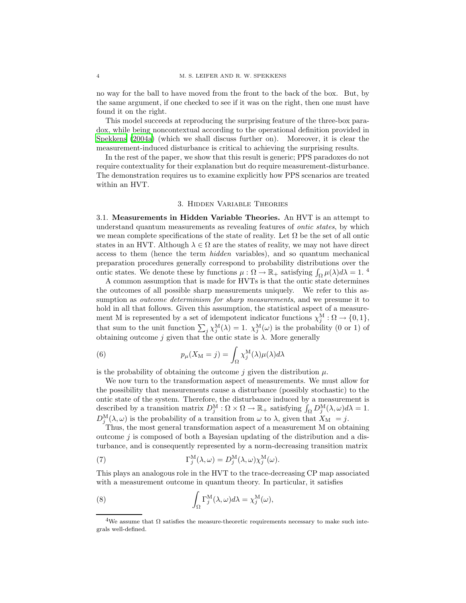no way for the ball to have moved from the front to the back of the box. But, by the same argument, if one checked to see if it was on the right, then one must have found it on the right.

This model succeeds at reproducing the surprising feature of the three-box paradox, while being noncontextual according to the operational definition provided in [Spekkens \(2004a\)](#page-10-8) (which we shall discuss further on). Moreover, it is clear the measurement-induced disturbance is critical to achieving the surprising results.

In the rest of the paper, we show that this result is generic; PPS paradoxes do not require contextuality for their explanation but do require measurement-disturbance. The demonstration requires us to examine explicitly how PPS scenarios are treated within an HVT.

#### <span id="page-5-0"></span>3. Hidden Variable Theories

3.1. Measurements in Hidden Variable Theories. An HVT is an attempt to understand quantum measurements as revealing features of ontic states, by which we mean complete specifications of the state of reality. Let  $\Omega$  be the set of all ontic states in an HVT. Although  $\lambda \in \Omega$  are the states of reality, we may not have direct access to them (hence the term hidden variables), and so quantum mechanical preparation procedures generally correspond to probability distributions over the ontic states. We denote these by functions  $\mu : \Omega \to \mathbb{R}_+$  satisfying  $\int_{\Omega} \mu(\lambda) d\lambda = 1$ .

A common assumption that is made for HVTs is that the ontic state determines the outcomes of all possible sharp measurements uniquely. We refer to this assumption as *outcome determinism for sharp measurements*, and we presume it to hold in all that follows. Given this assumption, the statistical aspect of a measurement M is represented by a set of idempotent indicator functions  $\chi_j^M : \Omega \to \{0, 1\},$ that sum to the unit function  $\sum_j \chi_j^{\text{M}}(\lambda) = 1$ .  $\chi_j^{\text{M}}(\omega)$  is the probability (0 or 1) of obtaining outcome j given that the ontic state is  $\lambda$ . More generally

(6) 
$$
p_{\mu}(X_{\mathcal{M}} = j) = \int_{\Omega} \chi_j^{\mathcal{M}}(\lambda) \mu(\lambda) d\lambda
$$

is the probability of obtaining the outcome j given the distribution  $\mu$ .

We now turn to the transformation aspect of measurements. We must allow for the possibility that measurements cause a disturbance (possibly stochastic) to the ontic state of the system. Therefore, the disturbance induced by a measurement is described by a transition matrix  $D_j^M : \Omega \times \Omega \to \mathbb{R}_+$  satisfying  $\int_{\Omega} D_j^M(\lambda, \omega) d\lambda = 1$ .  $D_j^{\mathcal{M}}(\lambda,\omega)$  is the probability of a transition from  $\omega$  to  $\lambda$ , given that  $X_{\mathcal{M}} = j$ .

<span id="page-5-1"></span>Thus, the most general transformation aspect of a measurement M on obtaining outcome j is composed of both a Bayesian updating of the distribution and a disturbance, and is consequently represented by a norm-decreasing transition matrix

<span id="page-5-2"></span>(7) 
$$
\Gamma_j^{\mathcal{M}}(\lambda,\omega) = D_j^{\mathcal{M}}(\lambda,\omega) \chi_j^{\mathcal{M}}(\omega).
$$

This plays an analogous role in the HVT to the trace-decreasing CP map associated with a measurement outcome in quantum theory. In particular, it satisfies

(8) 
$$
\int_{\Omega} \Gamma_j^{\mathcal{M}}(\lambda, \omega) d\lambda = \chi_j^{\mathcal{M}}(\omega),
$$

<sup>&</sup>lt;sup>4</sup>We assume that  $\Omega$  satisfies the measure-theoretic requirements necessary to make such integrals well-defined.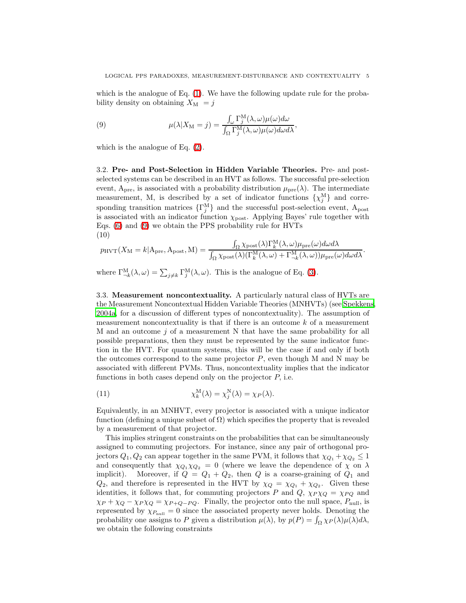<span id="page-6-0"></span>which is the analogue of Eq. [\(1\)](#page-3-0). We have the following update rule for the probability density on obtaining  $X_{\text{M}} = j$ 

(9) 
$$
\mu(\lambda|X_{\mathcal{M}}=j) = \frac{\int_{\omega} \Gamma_j^{\mathcal{M}}(\lambda,\omega)\mu(\omega)d\omega}{\int_{\Omega} \Gamma_j^{\mathcal{M}}(\lambda,\omega)\mu(\omega)d\omega d\lambda},
$$

which is the analogue of Eq. [\(2\)](#page-3-1).

3.2. Pre- and Post-Selection in Hidden Variable Theories. Pre- and postselected systems can be described in an HVT as follows. The successful pre-selection event, A<sub>pre</sub>, is associated with a probability distribution  $\mu_{pre}(\lambda)$ . The intermediate measurement, M, is described by a set of indicator functions  $\{\chi_j^M\}$  and corresponding transition matrices  $\{\Gamma_j^{\text{M}}\}$  and the successful post-selection event,  $A_{\text{post}}$ is associated with an indicator function  $\chi_{\text{post}}$ . Applying Bayes' rule together with Eqs. [\(6\)](#page-5-0) and [\(9\)](#page-6-0) we obtain the PPS probability rule for HVTs (10)

<span id="page-6-1"></span>
$$
p_{\rm HVT}(X_{\rm M}=k|{\rm A}_{\rm pre},{\rm A}_{\rm post},{\rm M})=\frac{\int_{\Omega}\chi_{\rm post}(\lambda)\Gamma_k^{\rm M}(\lambda,\omega)\mu_{\rm pre}(\omega)d\omega d\lambda}{\int_{\Omega}\chi_{\rm post}(\lambda)(\Gamma_k^{\rm M}(\lambda,\omega)+\Gamma_{{\rm -}k}^{\rm M}(\lambda,\omega))\mu_{\rm pre}(\omega)d\omega d\lambda}.
$$

where  $\Gamma_{\neg k}^{\text{M}}(\lambda,\omega) = \sum_{j\neq k} \Gamma_j^{\text{M}}(\lambda,\omega)$ . This is the analogue of Eq. [\(3\)](#page-3-2).

3.3. Measurement noncontextuality. A particularly natural class of HVTs are the Measurement Noncontextual Hidden Variable Theories (MNHVTs) (see [Spekkens](#page-10-8), [2004a,](#page-10-8) for a discussion of different types of noncontextuality). The assumption of measurement noncontextuality is that if there is an outcome  $k$  of a measurement M and an outcome  $j$  of a measurement N that have the same probability for all possible preparations, then they must be represented by the same indicator function in the HVT. For quantum systems, this will be the case if and only if both the outcomes correspond to the same projector  $P$ , even though M and N may be associated with different PVMs. Thus, noncontextuality implies that the indicator functions in both cases depend only on the projector  $P$ , i.e.

(11) 
$$
\chi_k^{\mathbf{M}}(\lambda) = \chi_j^{\mathbf{N}}(\lambda) = \chi_P(\lambda).
$$

Equivalently, in an MNHVT, every projector is associated with a unique indicator function (defining a unique subset of  $\Omega$ ) which specifies the property that is revealed by a measurement of that projector.

This implies stringent constraints on the probabilities that can be simultaneously assigned to commuting projectors. For instance, since any pair of orthogonal projectors  $Q_1, Q_2$  can appear together in the same PVM, it follows that  $\chi_{Q_1} + \chi_{Q_2} \leq 1$ and consequently that  $\chi_{Q_1} \chi_{Q_2} = 0$  (where we leave the dependence of  $\chi$  on  $\lambda$ implicit). Moreover, if  $Q = Q_1 + Q_2$ , then Q is a coarse-graining of  $Q_1$  and  $Q_2$ , and therefore is represented in the HVT by  $\chi_Q = \chi_{Q_1} + \chi_{Q_2}$ . Given these identities, it follows that, for commuting projectors P and Q,  $\chi_P \chi_Q = \chi_{PQ}$  and  $\chi_P + \chi_Q - \chi_P \chi_Q = \chi_{P+Q-PQ}$ . Finally, the projector onto the null space,  $P_{\text{null}}$ , is represented by  $\chi_{P_{\text{null}}} = 0$  since the associated property never holds. Denoting the probability one assigns to P given a distribution  $\mu(\lambda)$ , by  $p(P) = \int_{\Omega} \chi_P(\lambda) \mu(\lambda) d\lambda$ , we obtain the following constraints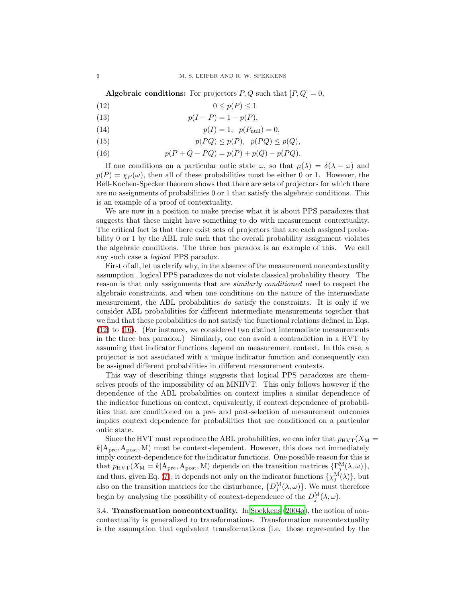Algebraic conditions: For projectors  $P, Q$  such that  $[P, Q] = 0$ ,

<span id="page-7-0"></span>
$$
(12)\t\t\t 0 \le p(P) \le 1
$$

(13) 
$$
p(I - P) = 1 - p(P),
$$

(14) 
$$
p(I) = 1, \ p(P_{\text{null}}) = 0,
$$

<span id="page-7-1"></span>(15)  $p(PQ) \leq p(P)$ ,  $p(PQ) \leq p(Q)$ ,

(16) 
$$
p(P + Q - PQ) = p(P) + p(Q) - p(PQ).
$$

If one conditions on a particular ontic state  $\omega$ , so that  $\mu(\lambda) = \delta(\lambda - \omega)$  and  $p(P) = \chi_P(\omega)$ , then all of these probabilities must be either 0 or 1. However, the Bell-Kochen-Specker theorem shows that there are sets of projectors for which there are no assignments of probabilities 0 or 1 that satisfy the algebraic conditions. This is an example of a proof of contextuality.

We are now in a position to make precise what it is about PPS paradoxes that suggests that these might have something to do with measurement contextuality. The critical fact is that there exist sets of projectors that are each assigned probability 0 or 1 by the ABL rule such that the overall probability assignment violates the algebraic conditions. The three box paradox is an example of this. We call any such case a logical PPS paradox.

First of all, let us clarify why, in the absence of the measurement noncontextuality assumption , logical PPS paradoxes do not violate classical probability theory. The reason is that only assignments that are similarly conditioned need to respect the algebraic constraints, and when one conditions on the nature of the intermediate measurement, the ABL probabilities do satisfy the constraints. It is only if we consider ABL probabilities for different intermediate measurements together that we find that these probabilities do not satisfy the functional relations defined in Eqs. [\(12\)](#page-7-0) to [\(16\)](#page-7-1). (For instance, we considered two distinct intermediate measurements in the three box paradox.) Similarly, one can avoid a contradiction in a HVT by assuming that indicator functions depend on measurement context. In this case, a projector is not associated with a unique indicator function and consequently can be assigned different probabilities in different measurement contexts.

This way of describing things suggests that logical PPS paradoxes are themselves proofs of the impossibility of an MNHVT. This only follows however if the dependence of the ABL probabilities on context implies a similar dependence of the indicator functions on context, equivalently, if context dependence of probabilities that are conditioned on a pre- and post-selection of measurement outcomes implies context dependence for probabilities that are conditioned on a particular ontic state.

Since the HVT must reproduce the ABL probabilities, we can infer that  $p_{\text{HVT}}(X_M =$  $k|A<sub>pre</sub>, A<sub>post</sub>, M$  must be context-dependent. However, this does not immediately imply context-dependence for the indicator functions. One possible reason for this is that  $p_{\text{HVT}}(X_{\text{M}} = k | A_{\text{pre}}, A_{\text{post}}, M)$  depends on the transition matrices  $\{\Gamma_j^{\text{M}}(\lambda, \omega)\},$ and thus, given Eq. [\(7\)](#page-5-1), it depends not only on the indicator functions  $\{\chi_j^M(\lambda)\}\,$  but also on the transition matrices for the disturbance,  $\{D_j^{\text{M}}(\lambda,\omega)\}\$ . We must therefore begin by analysing the possibility of context-dependence of the  $D_j^{\mathcal{M}}(\lambda, \omega)$ .

3.4. Transformation noncontextuality. In [Spekkens \(2004a\)](#page-10-8), the notion of noncontextuality is generalized to transformations. Transformation noncontextuality is the assumption that equivalent transformations (i.e. those represented by the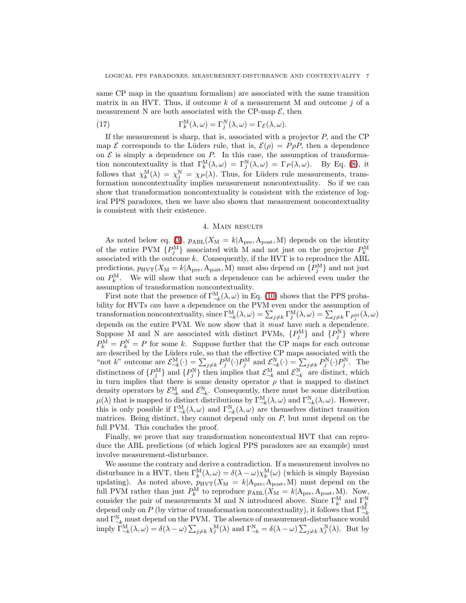same CP map in the quantum formalism) are associated with the same transition matrix in an HVT. Thus, if outcome  $k$  of a measurement M and outcome  $j$  of a measurement N are both associated with the CP-map  $\mathcal{E}$ , then

(17) 
$$
\Gamma_k^{\mathcal{M}}(\lambda, \omega) = \Gamma_j^N(\lambda, \omega) = \Gamma_{\mathcal{E}}(\lambda, \omega).
$$

If the measurement is sharp, that is, associated with a projector  $P$ , and the CP map E corresponds to the Lüders rule, that is,  $\mathcal{E}(\rho) = P \rho P$ , then a dependence on  $\mathcal E$  is simply a dependence on P. In this case, the assumption of transformation noncontextuality is that  $\Gamma_k^M(\lambda, \omega) = \Gamma_j^N(\lambda, \omega) = \Gamma_P(\lambda, \omega)$ . By Eq. [\(8\)](#page-5-2), it follows that  $\chi_k^{\mathcal{M}}(\lambda) = \chi_j^{\mathcal{N}} = \chi_P(\lambda)$ . Thus, for Lüders rule measurements, transformation noncontextuality implies measurement noncontextuality. So if we can show that transformation noncontextuality is consistent with the existence of logical PPS paradoxes, then we have also shown that measurement noncontextuality is consistent with their existence.

#### 4. Main results

As noted below eq. [\(3\)](#page-3-2),  $p_{ABL}(X_M = k | A_{pre}, A_{post}, M)$  depends on the identity of the entire PVM  $\{P_j^M\}$  associated with M and not just on the projector  $P_k^M$ associated with the outcome  $k$ . Consequently, if the HVT is to reproduce the ABL predictions,  $p_{\text{HVT}}(X_{\text{M}} = k | A_{\text{pre}}, A_{\text{post}}, M)$  must also depend on  $\{P_j^{\text{M}}\}$  and not just on  $P_k^M$ . We will show that such a dependence can be achieved even under the assumption of transformation noncontextuality.

First note that the presence of  $\Gamma_{\neg k}^{\text{M}}(\lambda,\omega)$  in Eq. [\(10\)](#page-6-1) shows that the PPS proba-That the that the presence of  $\Gamma_{\neg k}(\lambda, \omega)$  in Eq. (10) shows that the 115 probability for HVTs can have a dependence on the PVM even under the assumption of transformation noncontextuality, since  $\Gamma^M_{\neg k}(\lambda, \omega) = \sum_{j \neq k} \Gamma^M_j(\lambda, \omega) = \sum_{j \neq k} \Gamma_{P_j^M}(\lambda, \omega)$ depends on the entire PVM. We now show that it *must* have such a dependence. Suppose M and N are associated with distinct PVMs,  $\{P_j^M\}$  and  $\{P_j^N\}$  where  $P_k^{\text{M}} = P_k^{\text{N}} = P$  for some k. Suppose further that the CP maps for each outcome are described by the Lüders rule, so that the effective CP maps associated with the "not k" outcome are  $\mathcal{E}_{\neg k}^{\text{M}}(\cdot) = \sum_{j \neq k} P_j^{\text{M}}(\cdot) P_j^{\text{M}}$  and  $\mathcal{E}_{\neg k}^{\text{N}}(\cdot) = \sum_{j \neq k} P_j^{\text{N}}(\cdot) P_j^{\text{N}}$ . The distinctness of  $\{P_j^M\}$  and  $\{P_j^N\}$  then implies that  $\mathcal{E}_{\neg k}^M$  and  $\mathcal{E}_{\neg k}^N$  are distinct, which in turn implies that there is some density operator  $\rho$  that is mapped to distinct density operators by  $\mathcal{E}_{-k}^{\text{M}}$  and  $\mathcal{E}_{-k}^{\text{N}}$ . Consequently, there must be some distribution  $\mu(\lambda)$  that is mapped to distinct distributions by  $\Gamma_{-k}^{\mathcal{M}}(\lambda,\omega)$  and  $\Gamma_{-k}^{\mathcal{N}}(\lambda,\omega)$ . However,  $\mu(\lambda)$  that is inapped to distributions by  $\Gamma_{-k}^{\Lambda}(\lambda, \omega)$  and  $\Gamma_{-k}^{\Lambda}(\lambda, \omega)$ . However,<br>this is only possible if  $\Gamma_{-k}^{\Lambda}(\lambda, \omega)$  and  $\Gamma_{-k}^{\Lambda}(\lambda, \omega)$  are themselves distinct transition matrices. Being distinct, they cannot depend only on  $P$ , but must depend on the full PVM. This concludes the proof.

Finally, we prove that any transformation noncontextual HVT that can reproduce the ABL predictions (of which logical PPS paradoxes are an example) must involve measurement-disturbance.

We assume the contrary and derive a contradiction. If a measurement involves no disturbance in a HVT, then  $\Gamma_k^M(\lambda, \omega) = \delta(\lambda - \omega) \chi_k^M(\omega)$  (which is simply Bayesian updating). As noted above,  $p_{\text{HVT}}(X_{\text{M}} = k | A_{\text{pre}}, A_{\text{post}}, M)$  must depend on the full PVM rather than just  $P_k^{\text{M}}$  to reproduce  $p_{\text{ABL}}(X_{\text{M}} = k | A_{\text{pre}}, A_{\text{post}}, M)$ . Now, consider the pair of measurements M and N introduced above. Since  $\Gamma_k^{\text{M}}$  and  $\Gamma_k^{\text{N}}$ depend only on P (by virtue of transformation noncontextuality), it follows that  $\Gamma^{\tilde{M}}_{\neg k}$  $\prod_{k=1}^{\infty}$  must depend on the PVM. The absence of measurement-disturbance would imply  $\Gamma_{\neg k}^{M}(\lambda,\omega) = \delta(\lambda - \omega) \sum_{j \neq k} \chi_{j}^{M}(\lambda)$  and  $\Gamma_{\neg k}^{N} = \delta(\lambda - \omega) \sum_{j \neq k} \chi_{j}^{N}(\lambda)$ . But by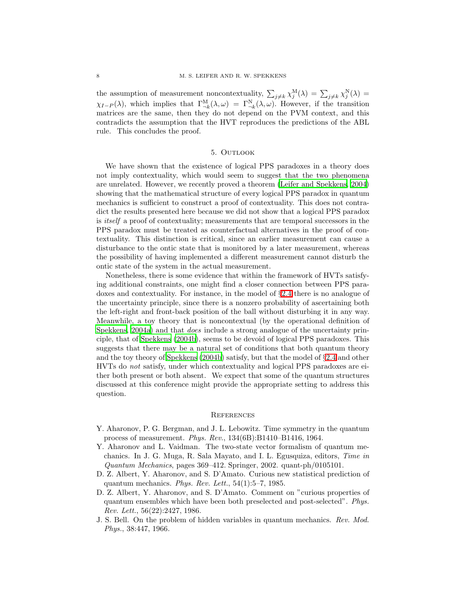the assumption of measurement noncontextuality,  $\sum_{j\neq k} \chi_j^M(\lambda) = \sum_{j\neq k} \chi_j^N(\lambda) =$  $\chi_{I-P}(\lambda)$ , which implies that  $\Gamma^{\text{M}}_{\neg k}(\lambda,\omega) = \Gamma^{\text{N}}_{\neg k}(\lambda,\omega)$ . However, if the transition matrices are the same, then they do not depend on the PVM context, and this contradicts the assumption that the HVT reproduces the predictions of the ABL rule. This concludes the proof.

#### 5. OUTLOOK

We have shown that the existence of logical PPS paradoxes in a theory does not imply contextuality, which would seem to suggest that the two phenomena are unrelated. However, we recently proved a theorem [\(Leifer and Spekkens, 2004\)](#page-10-5) showing that the mathematical structure of every logical PPS paradox in quantum mechanics is sufficient to construct a proof of contextuality. This does not contradict the results presented here because we did not show that a logical PPS paradox is itself a proof of contextuality; measurements that are temporal successors in the PPS paradox must be treated as counterfactual alternatives in the proof of contextuality. This distinction is critical, since an earlier measurement can cause a disturbance to the ontic state that is monitored by a later measurement, whereas the possibility of having implemented a different measurement cannot disturb the ontic state of the system in the actual measurement.

Nonetheless, there is some evidence that within the framework of HVTs satisfying additional constraints, one might find a closer connection between PPS paradoxes and contextuality. For instance, in the model of §[2.4](#page-4-0) there is no analogue of the uncertainty principle, since there is a nonzero probability of ascertaining both the left-right and front-back position of the ball without disturbing it in any way. Meanwhile, a toy theory that is noncontextual (by the operational definition of [Spekkens, 2004a\)](#page-10-8) and that does include a strong analogue of the uncertainty principle, that of [Spekkens \(2004b](#page-10-9)), seems to be devoid of logical PPS paradoxes. This suggests that there may be a natural set of conditions that both quantum theory and the toy theory of [Spekkens \(2004b](#page-10-9)) satisfy, but that the model of §[2.4](#page-4-0) and other HVTs do not satisfy, under which contextuality and logical PPS paradoxes are either both present or both absent. We expect that some of the quantum structures discussed at this conference might provide the appropriate setting to address this question.

#### **REFERENCES**

- <span id="page-9-0"></span>Y. Aharonov, P. G. Bergman, and J. L. Lebowitz. Time symmetry in the quantum process of measurement. Phys. Rev., 134(6B):B1410–B1416, 1964.
- <span id="page-9-4"></span>Y. Aharonov and L. Vaidman. The two-state vector formalism of quantum mechanics. In J. G. Muga, R. Sala Mayato, and I. L. Egusquiza, editors, Time in Quantum Mechanics, pages 369–412. Springer, 2002. quant-ph/0105101.
- <span id="page-9-1"></span>D. Z. Albert, Y. Aharonov, and S. D'Amato. Curious new statistical prediction of quantum mechanics. Phys. Rev. Lett.,  $54(1):5-7$ , 1985.
- <span id="page-9-3"></span>D. Z. Albert, Y. Aharonov, and S. D'Amato. Comment on "curious properties of quantum ensembles which have been both preselected and post-selected". Phys. Rev. Lett., 56(22):2427, 1986.
- <span id="page-9-2"></span>J. S. Bell. On the problem of hidden variables in quantum mechanics. Rev. Mod. Phys., 38:447, 1966.